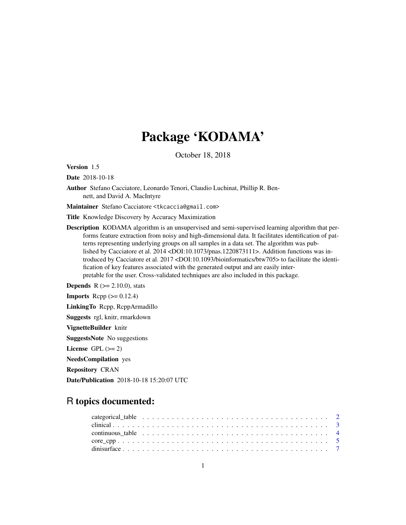# Package 'KODAMA'

October 18, 2018

<span id="page-0-0"></span>Version 1.5

Date 2018-10-18

Author Stefano Cacciatore, Leonardo Tenori, Claudio Luchinat, Phillip R. Bennett, and David A. MacIntyre

Maintainer Stefano Cacciatore <tkcaccia@gmail.com>

Title Knowledge Discovery by Accuracy Maximization

Description KODAMA algorithm is an unsupervised and semi-supervised learning algorithm that performs feature extraction from noisy and high-dimensional data. It facilitates identification of patterns representing underlying groups on all samples in a data set. The algorithm was published by Cacciatore et al. 2014 <DOI:10.1073/pnas.1220873111>. Addition functions was introduced by Cacciatore et al. 2017 <DOI:10.1093/bioinformatics/btw705> to facilitate the identification of key features associated with the generated output and are easily interpretable for the user. Cross-validated techniques are also included in this package.

**Depends** R  $(>= 2.10.0)$ , stats **Imports** Rcpp  $(>= 0.12.4)$ LinkingTo Rcpp, RcppArmadillo Suggests rgl, knitr, rmarkdown VignetteBuilder knitr SuggestsNote No suggestions License GPL  $(>= 2)$ NeedsCompilation yes Repository CRAN Date/Publication 2018-10-18 15:20:07 UTC

# R topics documented: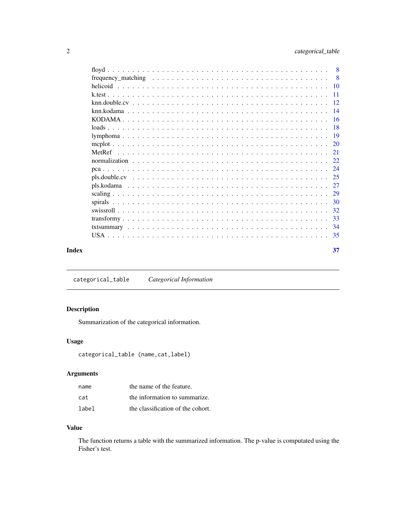<span id="page-1-0"></span>

|  |  |  |  |  |  |  |  |  |  |  |  | 37 |
|--|--|--|--|--|--|--|--|--|--|--|--|----|

<span id="page-1-1"></span>categorical\_table *Categorical Information*

# Description

Summarization of the categorical information.

# Usage

```
categorical_table (name,cat,label)
```
# Arguments

| name  | the name of the feature.          |
|-------|-----------------------------------|
| cat   | the information to summarize.     |
| label | the classification of the cohort. |

# Value

The function returns a table with the summarized information. The p-value is computated using the Fisher's test.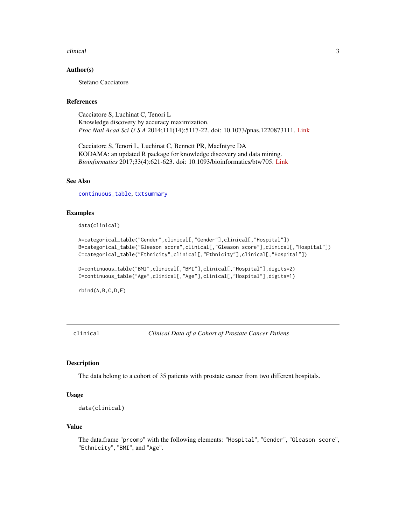### <span id="page-2-0"></span>clinical 3

### Author(s)

Stefano Cacciatore

# References

Cacciatore S, Luchinat C, Tenori L Knowledge discovery by accuracy maximization. *Proc Natl Acad Sci U S A* 2014;111(14):5117-22. doi: 10.1073/pnas.1220873111. [Link](http://www.pnas.org/content/111/14/5117)

Cacciatore S, Tenori L, Luchinat C, Bennett PR, MacIntyre DA KODAMA: an updated R package for knowledge discovery and data mining. *Bioinformatics* 2017;33(4):621-623. doi: 10.1093/bioinformatics/btw705. [Link](https://academic.oup.com/bioinformatics/article/doi/10.1093/bioinformatics/btw705/2667156/KODAMA-an-R-package-for-knowledge-discovery-and)

### See Also

[continuous\\_table](#page-3-1), [txtsummary](#page-33-1)

### Examples

data(clinical)

```
A=categorical_table("Gender",clinical[,"Gender"],clinical[,"Hospital"])
B=categorical_table("Gleason score",clinical[,"Gleason score"],clinical[,"Hospital"])
C=categorical_table("Ethnicity",clinical[,"Ethnicity"],clinical[,"Hospital"])
```
D=continuous\_table("BMI",clinical[,"BMI"],clinical[,"Hospital"],digits=2) E=continuous\_table("Age",clinical[,"Age"],clinical[,"Hospital"],digits=1)

rbind(A,B,C,D,E)

clinical *Clinical Data of a Cohort of Prostate Cancer Patiens*

### **Description**

The data belong to a cohort of 35 patients with prostate cancer from two different hospitals.

### Usage

```
data(clinical)
```
### Value

The data.frame "prcomp" with the following elements: "Hospital", "Gender", "Gleason score", "Ethnicity", "BMI", and "Age".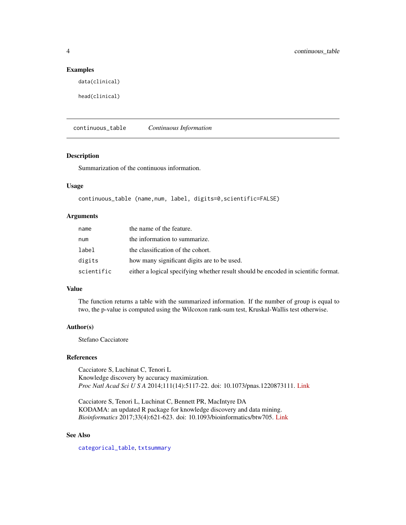### Examples

data(clinical)

head(clinical)

<span id="page-3-1"></span>continuous\_table *Continuous Information*

### Description

Summarization of the continuous information.

# Usage

continuous\_table (name,num, label, digits=0,scientific=FALSE)

# Arguments

| name       | the name of the feature.                                                           |
|------------|------------------------------------------------------------------------------------|
| num        | the information to summarize.                                                      |
| label      | the classification of the cohort.                                                  |
| digits     | how many significant digits are to be used.                                        |
| scientific | either a logical specifying whether result should be encoded in scientific format. |

### Value

The function returns a table with the summarized information. If the number of group is equal to two, the p-value is computed using the Wilcoxon rank-sum test, Kruskal-Wallis test otherwise.

### Author(s)

Stefano Cacciatore

### References

Cacciatore S, Luchinat C, Tenori L Knowledge discovery by accuracy maximization. *Proc Natl Acad Sci U S A* 2014;111(14):5117-22. doi: 10.1073/pnas.1220873111. [Link](http://www.pnas.org/content/111/14/5117)

Cacciatore S, Tenori L, Luchinat C, Bennett PR, MacIntyre DA KODAMA: an updated R package for knowledge discovery and data mining. *Bioinformatics* 2017;33(4):621-623. doi: 10.1093/bioinformatics/btw705. [Link](https://academic.oup.com/bioinformatics/article/doi/10.1093/bioinformatics/btw705/2667156/KODAMA-an-R-package-for-knowledge-discovery-and)

# See Also

[categorical\\_table](#page-1-1), [txtsummary](#page-33-1)

<span id="page-3-0"></span>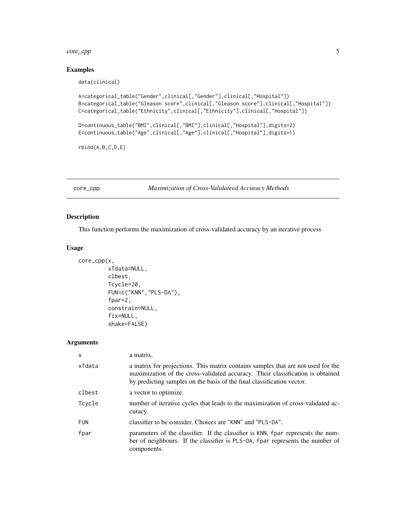### <span id="page-4-0"></span>core\_cpp 5

# Examples

data(clinical)

```
A=categorical_table("Gender",clinical[,"Gender"],clinical[,"Hospital"])
B=categorical_table("Gleason score",clinical[,"Gleason score"],clinical[,"Hospital"])
C=categorical_table("Ethnicity",clinical[,"Ethnicity"],clinical[,"Hospital"])
D=continuous_table("BMI",clinical[,"BMI"],clinical[,"Hospital"],digits=2)
E=continuous_table("Age",clinical[,"Age"],clinical[,"Hospital"],digits=1)
```
rbind(A,B,C,D,E)

core\_cpp *Maximization of Cross-Validateed Accuracy Methods*

# Description

This function performs the maximization of cross-validated accuracy by an iterative process

### Usage

```
core_cpp(x,
         xTdata=NULL,
         clbest,
         Tcycle=20,
         FUN=c("KNN","PLS-DA"),
         fpar=2,
         constrain=NULL,
         fix=NULL,
         shake=FALSE)
```
# Arguments

| X          | a matrix.                                                                                                                                                                                                                                    |
|------------|----------------------------------------------------------------------------------------------------------------------------------------------------------------------------------------------------------------------------------------------|
| xTdata     | a matrix for projections. This matrix contains samples that are not used for the<br>maximization of the cross-validated accuracy. Their classification is obtained<br>by predicting samples on the basis of the final classification vector. |
| clbest     | a vector to optimize.                                                                                                                                                                                                                        |
| Tcycle     | number of iterative cycles that leads to the maximization of cross-validated ac-<br>curacy.                                                                                                                                                  |
| <b>FUN</b> | classifier to be consider. Choices are "KNN" and "PLS-DA".                                                                                                                                                                                   |
| fpar       | parameters of the classifier. If the classifier is KNN, fpar represents the num-<br>ber of neighbours. If the classifier is PLS-DA, fpar represents the number of<br>components.                                                             |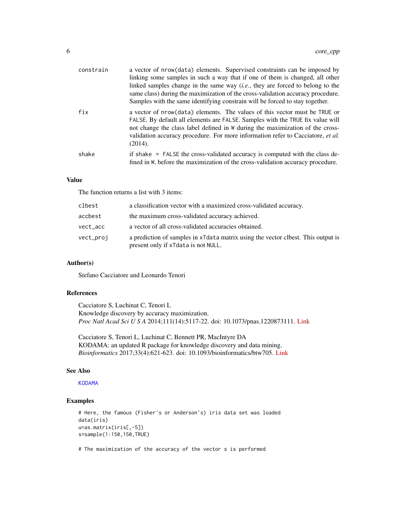<span id="page-5-0"></span>

| constrain | a vector of nrow(data) elements. Supervised constraints can be imposed by<br>linking some samples in such a way that if one of them is changed, all other<br>linked samples change in the same way $(i.e.,$ they are forced to belong to the<br>same class) during the maximization of the cross-validation accuracy procedure.<br>Samples with the same identifying constrain will be forced to stay together. |
|-----------|-----------------------------------------------------------------------------------------------------------------------------------------------------------------------------------------------------------------------------------------------------------------------------------------------------------------------------------------------------------------------------------------------------------------|
| fix       | a vector of nrow(data) elements. The values of this vector must be TRUE or<br>FALSE. By default all elements are FALSE. Samples with the TRUE fix value will<br>not change the class label defined in W during the maximization of the cross-<br>validation accuracy procedure. For more information refer to Cacciatore, et al.<br>(2014).                                                                     |
| shake     | if shake = FALSE the cross-validated accuracy is computed with the class de-<br>fined in W, before the maximization of the cross-validation accuracy procedure.                                                                                                                                                                                                                                                 |

# Value

The function returns a list with 3 items:

| clbest    | a classification vector with a maximized cross-validated accuracy.                                                      |
|-----------|-------------------------------------------------------------------------------------------------------------------------|
| accbest   | the maximum cross-validated accuracy achieved.                                                                          |
| vect acc  | a vector of all cross-validated accuracies obtained.                                                                    |
| vect_proj | a prediction of samples in xTdata matrix using the vector clbest. This output is<br>present only if xTdata is not NULL. |

# Author(s)

Stefano Cacciatore and Leonardo Tenori

# References

Cacciatore S, Luchinat C, Tenori L Knowledge discovery by accuracy maximization. *Proc Natl Acad Sci U S A* 2014;111(14):5117-22. doi: 10.1073/pnas.1220873111. [Link](http://www.pnas.org/content/111/14/5117)

Cacciatore S, Tenori L, Luchinat C, Bennett PR, MacIntyre DA KODAMA: an updated R package for knowledge discovery and data mining. *Bioinformatics* 2017;33(4):621-623. doi: 10.1093/bioinformatics/btw705. [Link](https://academic.oup.com/bioinformatics/article/doi/10.1093/bioinformatics/btw705/2667156/KODAMA-an-R-package-for-knowledge-discovery-and)

### See Also

### [KODAMA](#page-15-1)

### Examples

```
# Here, the famous (Fisher's or Anderson's) iris data set was loaded
data(iris)
u=as.matrix(iris[,-5])
s=sample(1:150,150,TRUE)
```
# The maximization of the accuracy of the vector s is performed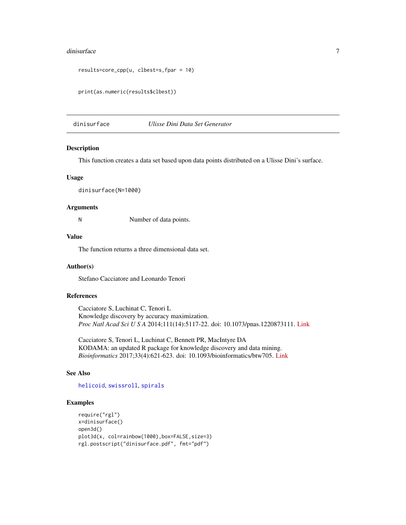### <span id="page-6-0"></span>dinisurface 7 and 2008 and 2008 and 2008 and 2008 and 2008 and 2008 and 2008 and 2008 and 2008 and 2008 and 20

```
results=core_cpp(u, clbest=s,fpar = 10)
```

```
print(as.numeric(results$clbest))
```
<span id="page-6-1"></span>dinisurface *Ulisse Dini Data Set Generator*

### Description

This function creates a data set based upon data points distributed on a Ulisse Dini's surface.

### Usage

dinisurface(N=1000)

# Arguments

N Number of data points.

# Value

The function returns a three dimensional data set.

# Author(s)

Stefano Cacciatore and Leonardo Tenori

# References

Cacciatore S, Luchinat C, Tenori L Knowledge discovery by accuracy maximization. *Proc Natl Acad Sci U S A* 2014;111(14):5117-22. doi: 10.1073/pnas.1220873111. [Link](http://www.pnas.org/content/111/14/5117)

Cacciatore S, Tenori L, Luchinat C, Bennett PR, MacIntyre DA KODAMA: an updated R package for knowledge discovery and data mining. *Bioinformatics* 2017;33(4):621-623. doi: 10.1093/bioinformatics/btw705. [Link](https://academic.oup.com/bioinformatics/article/doi/10.1093/bioinformatics/btw705/2667156/KODAMA-an-R-package-for-knowledge-discovery-and)

### See Also

[helicoid](#page-9-1), [swissroll](#page-31-1), [spirals](#page-29-1)

### Examples

```
require("rgl")
x=dinisurface()
open3d()
plot3d(x, col=rainbow(1000),box=FALSE,size=3)
rgl.postscript("dinisurface.pdf", fmt="pdf")
```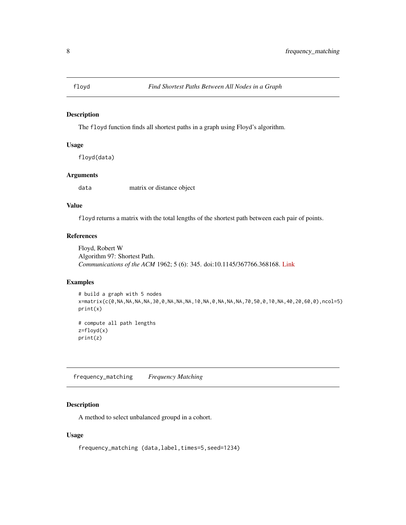<span id="page-7-0"></span>

# Description

The floyd function finds all shortest paths in a graph using Floyd's algorithm.

# Usage

floyd(data)

# Arguments

data matrix or distance object

# Value

floyd returns a matrix with the total lengths of the shortest path between each pair of points.

### References

Floyd, Robert W Algorithm 97: Shortest Path. *Communications of the ACM* 1962; 5 (6): 345. doi:10.1145/367766.368168. [Link](https://dl.acm.org/citation.cfm?doid=367766.368168)

# Examples

```
# build a graph with 5 nodes
x=matrix(c(0,NA,NA,NA,NA,30,0,NA,NA,NA,10,NA,0,NA,NA,NA,70,50,0,10,NA,40,20,60,0),ncol=5)
print(x)
```
# compute all path lengths z=floyd(x) print(z)

frequency\_matching *Frequency Matching*

# Description

A method to select unbalanced groupd in a cohort.

### Usage

frequency\_matching (data,label,times=5,seed=1234)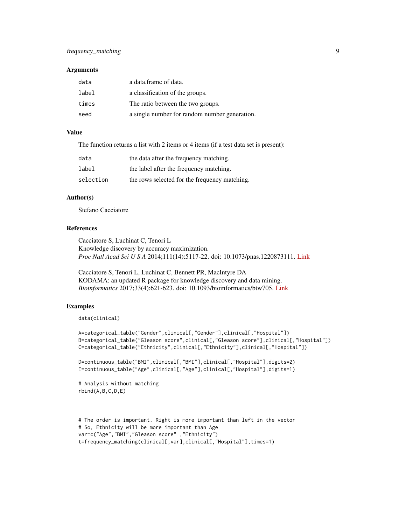# frequency\_matching 9

### **Arguments**

| data  | a data.frame of data.                         |
|-------|-----------------------------------------------|
| label | a classification of the groups.               |
| times | The ratio between the two groups.             |
| seed  | a single number for random number generation. |

# Value

The function returns a list with 2 items or 4 items (if a test data set is present):

| data      | the data after the frequency matching.        |
|-----------|-----------------------------------------------|
| label     | the label after the frequency matching.       |
| selection | the rows selected for the frequency matching. |

### Author(s)

Stefano Cacciatore

# References

Cacciatore S, Luchinat C, Tenori L Knowledge discovery by accuracy maximization. *Proc Natl Acad Sci U S A* 2014;111(14):5117-22. doi: 10.1073/pnas.1220873111. [Link](http://www.pnas.org/content/111/14/5117)

Cacciatore S, Tenori L, Luchinat C, Bennett PR, MacIntyre DA KODAMA: an updated R package for knowledge discovery and data mining. *Bioinformatics* 2017;33(4):621-623. doi: 10.1093/bioinformatics/btw705. [Link](https://academic.oup.com/bioinformatics/article/doi/10.1093/bioinformatics/btw705/2667156/KODAMA-an-R-package-for-knowledge-discovery-and)

# Examples

```
data(clinical)
```

```
A=categorical_table("Gender",clinical[,"Gender"],clinical[,"Hospital"])
B=categorical_table("Gleason score",clinical[,"Gleason score"],clinical[,"Hospital"])
C=categorical_table("Ethnicity",clinical[,"Ethnicity"],clinical[,"Hospital"])
```

```
D=continuous_table("BMI",clinical[,"BMI"],clinical[,"Hospital"],digits=2)
E=continuous_table("Age",clinical[,"Age"],clinical[,"Hospital"],digits=1)
```

```
# Analysis without matching
rbind(A,B,C,D,E)
```

```
# The order is important. Right is more important than left in the vector
# So, Ethnicity will be more important than Age
var=c("Age","BMI","Gleason score" ,"Ethnicity")
t=frequency_matching(clinical[,var],clinical[,"Hospital"],times=1)
```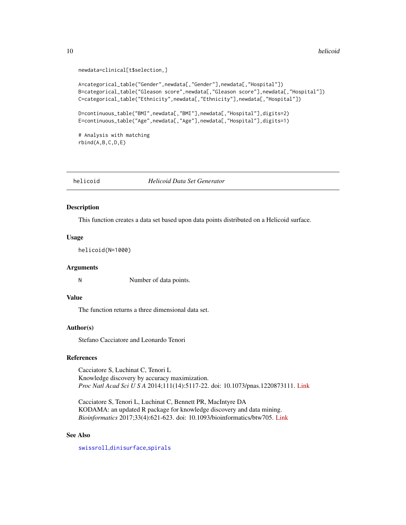```
newdata=clinical[t$selection,]
```

```
A=categorical_table("Gender",newdata[,"Gender"],newdata[,"Hospital"])
B=categorical_table("Gleason score",newdata[,"Gleason score"],newdata[,"Hospital"])
C=categorical_table("Ethnicity",newdata[,"Ethnicity"],newdata[,"Hospital"])
```
D=continuous\_table("BMI",newdata[,"BMI"],newdata[,"Hospital"],digits=2) E=continuous\_table("Age",newdata[,"Age"],newdata[,"Hospital"],digits=1)

# Analysis with matching rbind(A,B,C,D,E)

<span id="page-9-1"></span>helicoid *Helicoid Data Set Generator*

# Description

This function creates a data set based upon data points distributed on a Helicoid surface.

### Usage

helicoid(N=1000)

### Arguments

N Number of data points.

# Value

The function returns a three dimensional data set.

# Author(s)

Stefano Cacciatore and Leonardo Tenori

### References

Cacciatore S, Luchinat C, Tenori L Knowledge discovery by accuracy maximization. *Proc Natl Acad Sci U S A* 2014;111(14):5117-22. doi: 10.1073/pnas.1220873111. [Link](http://www.pnas.org/content/111/14/5117)

Cacciatore S, Tenori L, Luchinat C, Bennett PR, MacIntyre DA KODAMA: an updated R package for knowledge discovery and data mining. *Bioinformatics* 2017;33(4):621-623. doi: 10.1093/bioinformatics/btw705. [Link](https://academic.oup.com/bioinformatics/article/doi/10.1093/bioinformatics/btw705/2667156/KODAMA-an-R-package-for-knowledge-discovery-and)

# See Also

[swissroll](#page-31-1),[dinisurface](#page-6-1),[spirals](#page-29-1)

<span id="page-9-0"></span>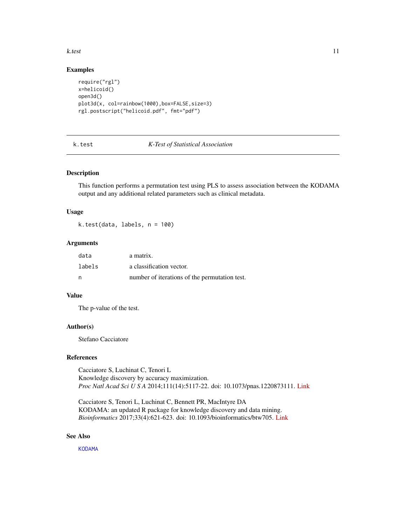### <span id="page-10-0"></span>k.test 11

# Examples

```
require("rgl")
x=helicoid()
open3d()
plot3d(x, col=rainbow(1000),box=FALSE,size=3)
rgl.postscript("helicoid.pdf", fmt="pdf")
```
### k.test *K-Test of Statistical Association*

### Description

This function performs a permutation test using PLS to assess association between the KODAMA output and any additional related parameters such as clinical metadata.

# Usage

k.test(data, labels, n = 100)

### Arguments

| data   | a matrix.                                     |
|--------|-----------------------------------------------|
| labels | a classification vector.                      |
| - n    | number of iterations of the permutation test. |

### Value

The p-value of the test.

# Author(s)

Stefano Cacciatore

# References

Cacciatore S, Luchinat C, Tenori L Knowledge discovery by accuracy maximization. *Proc Natl Acad Sci U S A* 2014;111(14):5117-22. doi: 10.1073/pnas.1220873111. [Link](http://www.pnas.org/content/111/14/5117)

Cacciatore S, Tenori L, Luchinat C, Bennett PR, MacIntyre DA KODAMA: an updated R package for knowledge discovery and data mining. *Bioinformatics* 2017;33(4):621-623. doi: 10.1093/bioinformatics/btw705. [Link](https://academic.oup.com/bioinformatics/article/doi/10.1093/bioinformatics/btw705/2667156/KODAMA-an-R-package-for-knowledge-discovery-and)

# See Also

[KODAMA](#page-15-1)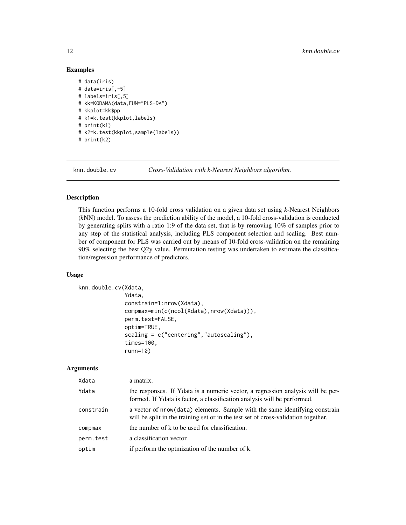# Examples

```
# data(iris)
# data=iris[,-5]
# labels=iris[,5]
# kk=KODAMA(data,FUN="PLS-DA")
# kkplot=kk$pp
# k1=k.test(kkplot,labels)
# print(k1)
# k2=k.test(kkplot,sample(labels))
# print(k2)
```
knn.double.cv *Cross-Validation with k-Nearest Neighbors algorithm.*

### Description

This function performs a 10-fold cross validation on a given data set using *k*-Nearest Neighbors (*k*NN) model. To assess the prediction ability of the model, a 10-fold cross-validation is conducted by generating splits with a ratio 1:9 of the data set, that is by removing 10% of samples prior to any step of the statistical analysis, including PLS component selection and scaling. Best number of component for PLS was carried out by means of 10-fold cross-validation on the remaining 90% selecting the best Q2y value. Permutation testing was undertaken to estimate the classification/regression performance of predictors.

### Usage

```
knn.double.cv(Xdata,
              Ydata,
              constrain=1:nrow(Xdata),
              compmax=min(c(ncol(Xdata),nrow(Xdata))),
              perm.test=FALSE,
              optim=TRUE,
              scaling = c("centering","autoscaling"),
              times=100,
              runn=10)
```
# Arguments

| Xdata     | a matrix.                                                                                                                                                          |
|-----------|--------------------------------------------------------------------------------------------------------------------------------------------------------------------|
| Ydata     | the responses. If Ydata is a numeric vector, a regression analysis will be per-<br>formed. If Ydata is factor, a classification analysis will be performed.        |
| constrain | a vector of nrow (data) elements. Sample with the same identifying constrain<br>will be split in the training set or in the test set of cross-validation together. |
| compmax   | the number of k to be used for classification.                                                                                                                     |
| perm.test | a classification vector.                                                                                                                                           |
| optim     | if perform the optmization of the number of k.                                                                                                                     |
|           |                                                                                                                                                                    |

<span id="page-11-0"></span>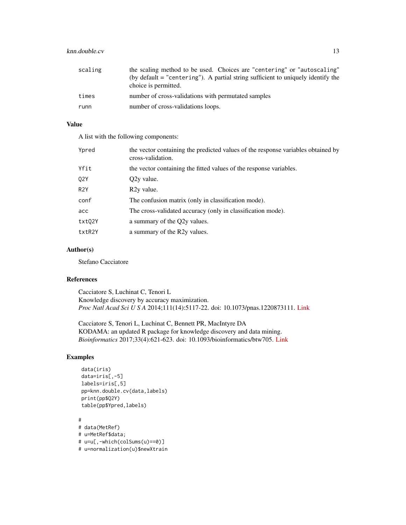# knn.double.cv 13

| scaling | the scaling method to be used. Choices are "centering" or "autoscaling"<br>(by default = "centering"). A partial string sufficient to uniquely identify the<br>choice is permitted. |
|---------|-------------------------------------------------------------------------------------------------------------------------------------------------------------------------------------|
| times   | number of cross-validations with permutated samples                                                                                                                                 |
| runn    | number of cross-validations loops.                                                                                                                                                  |

# Value

A list with the following components:

| Ypred            | the vector containing the predicted values of the response variables obtained by<br>cross-validation. |
|------------------|-------------------------------------------------------------------------------------------------------|
| Yfit             | the vector containing the fitted values of the response variables.                                    |
| 02Y              | Q2y value.                                                                                            |
| R <sub>2</sub> Y | R <sub>2</sub> y value.                                                                               |
| conf             | The confusion matrix (only in classification mode).                                                   |
| acc              | The cross-validated accuracy (only in classification mode).                                           |
| txt02Y           | a summary of the O2y values.                                                                          |
| txtR2Y           | a summary of the R2y values.                                                                          |

# Author(s)

Stefano Cacciatore

### References

Cacciatore S, Luchinat C, Tenori L Knowledge discovery by accuracy maximization. *Proc Natl Acad Sci U S A* 2014;111(14):5117-22. doi: 10.1073/pnas.1220873111. [Link](http://www.pnas.org/content/111/14/5117)

Cacciatore S, Tenori L, Luchinat C, Bennett PR, MacIntyre DA KODAMA: an updated R package for knowledge discovery and data mining. *Bioinformatics* 2017;33(4):621-623. doi: 10.1093/bioinformatics/btw705. [Link](https://academic.oup.com/bioinformatics/article/doi/10.1093/bioinformatics/btw705/2667156/KODAMA-an-R-package-for-knowledge-discovery-and)

# Examples

```
data(iris)
data=iris[,-5]
labels=iris[,5]
pp=knn.double.cv(data,labels)
print(pp$Q2Y)
table(pp$Ypred,labels)
```
# # data(MetRef) # u=MetRef\$data; # u=u[,-which(colSums(u)==0)] # u=normalization(u)\$newXtrain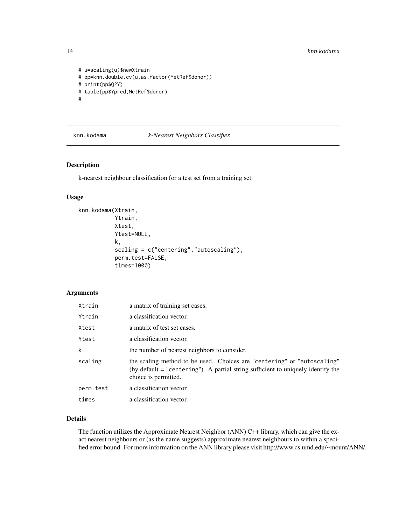```
# u=scaling(u)$newXtrain
# pp=knn.double.cv(u,as.factor(MetRef$donor))
# print(pp$Q2Y)
# table(pp$Ypred,MetRef$donor)
#
```
### knn.kodama *k-Nearest Neighbors Classifier.*

# Description

k-nearest neighbour classification for a test set from a training set.

### Usage

```
knn.kodama(Xtrain,
           Ytrain,
           Xtest,
           Ytest=NULL,
           k,
           scaling = c("centering","autoscaling"),
           perm.test=FALSE,
           times=1000)
```
# Arguments

| Xtrain    | a matrix of training set cases.                                                                                                                                                       |
|-----------|---------------------------------------------------------------------------------------------------------------------------------------------------------------------------------------|
| Ytrain    | a classification vector.                                                                                                                                                              |
| Xtest     | a matrix of test set cases.                                                                                                                                                           |
| Ytest     | a classification vector.                                                                                                                                                              |
| k         | the number of nearest neighbors to consider.                                                                                                                                          |
| scaling   | the scaling method to be used. Choices are "centering" or "autoscaling"<br>(by default $=$ "centering"). A partial string sufficient to uniquely identify the<br>choice is permitted. |
| perm.test | a classification vector.                                                                                                                                                              |
| times     | a classification vector.                                                                                                                                                              |

### Details

The function utilizes the Approximate Nearest Neighbor (ANN) C++ library, which can give the exact nearest neighbours or (as the name suggests) approximate nearest neighbours to within a specified error bound. For more information on the ANN library please visit http://www.cs.umd.edu/~mount/ANN/.

<span id="page-13-0"></span>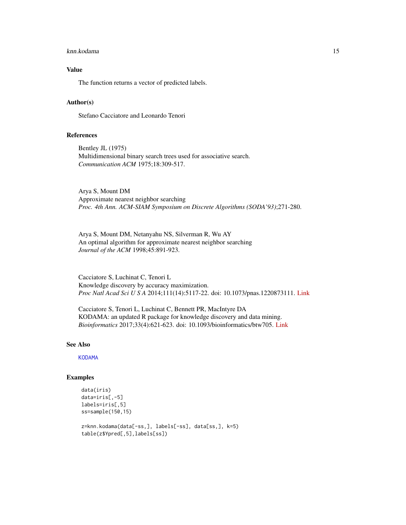### <span id="page-14-0"></span>knn.kodama 15

# Value

The function returns a vector of predicted labels.

# Author(s)

Stefano Cacciatore and Leonardo Tenori

# References

Bentley JL (1975) Multidimensional binary search trees used for associative search. *Communication ACM* 1975;18:309-517.

Arya S, Mount DM Approximate nearest neighbor searching *Proc. 4th Ann. ACM-SIAM Symposium on Discrete Algorithms (SODA'93)*;271-280.

Arya S, Mount DM, Netanyahu NS, Silverman R, Wu AY An optimal algorithm for approximate nearest neighbor searching *Journal of the ACM* 1998;45:891-923.

Cacciatore S, Luchinat C, Tenori L Knowledge discovery by accuracy maximization. *Proc Natl Acad Sci U S A* 2014;111(14):5117-22. doi: 10.1073/pnas.1220873111. [Link](http://www.pnas.org/content/111/14/5117)

Cacciatore S, Tenori L, Luchinat C, Bennett PR, MacIntyre DA KODAMA: an updated R package for knowledge discovery and data mining. *Bioinformatics* 2017;33(4):621-623. doi: 10.1093/bioinformatics/btw705. [Link](https://academic.oup.com/bioinformatics/article/doi/10.1093/bioinformatics/btw705/2667156/KODAMA-an-R-package-for-knowledge-discovery-and)

### See Also

**[KODAMA](#page-15-1)** 

# Examples

```
data(iris)
data=iris[,-5]
labels=iris[,5]
ss=sample(150,15)
z=knn.kodama(data[-ss,], labels[-ss], data[ss,], k=5)
table(z$Ypred[,5],labels[ss])
```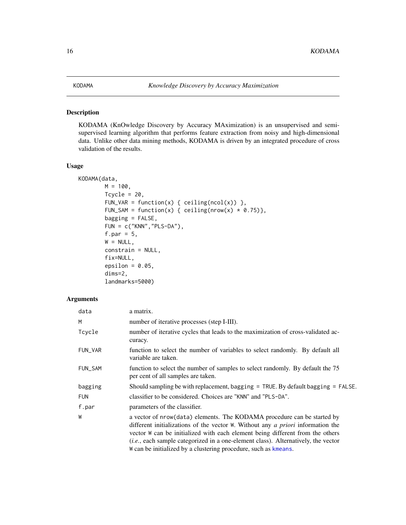# <span id="page-15-1"></span><span id="page-15-0"></span>Description

KODAMA (KnOwledge Discovery by Accuracy MAximization) is an unsupervised and semisupervised learning algorithm that performs feature extraction from noisy and high-dimensional data. Unlike other data mining methods, KODAMA is driven by an integrated procedure of cross validation of the results.

### Usage

KODAMA(data,

```
M = 100,Tcycle = 20,
FUN_VAR = function(x) { ceiling(ncol(x)) },
FUN_SAM = function(x) { ceiling(nrow(x) * 0.75)},
bagging = FALSE,
FUN = c("KNN","PLS-DA"),
f.par = 5,
W = NULL,constrain = NULL,
fix=NULL,
epsilon = 0.05,
dims=2,
landmarks=5000)
```
# Arguments

| a matrix.                                                                                                                                                                                                                                                                                                                                                                                                          |
|--------------------------------------------------------------------------------------------------------------------------------------------------------------------------------------------------------------------------------------------------------------------------------------------------------------------------------------------------------------------------------------------------------------------|
| number of iterative processes (step I-III).                                                                                                                                                                                                                                                                                                                                                                        |
| number of iterative cycles that leads to the maximization of cross-validated ac-<br>curacy.                                                                                                                                                                                                                                                                                                                        |
| function to select the number of variables to select randomly. By default all<br>variable are taken.                                                                                                                                                                                                                                                                                                               |
| function to select the number of samples to select randomly. By default the 75<br>per cent of all samples are taken.                                                                                                                                                                                                                                                                                               |
| Should sampling be with replacement, bagging $=$ TRUE. By default bagging $=$ FALSE.                                                                                                                                                                                                                                                                                                                               |
| classifier to be considered. Choices are "KNN" and "PLS-DA".                                                                                                                                                                                                                                                                                                                                                       |
| parameters of the classifier.                                                                                                                                                                                                                                                                                                                                                                                      |
| a vector of nrow(data) elements. The KODAMA procedure can be started by<br>different initializations of the vector W. Without any <i>a priori</i> information the<br>vector W can be initialized with each element being different from the others<br><i>(i.e., each sample categorized in a one-element class). Alternatively, the vector</i><br>We can be initialized by a clustering procedure, such as kmeans. |
|                                                                                                                                                                                                                                                                                                                                                                                                                    |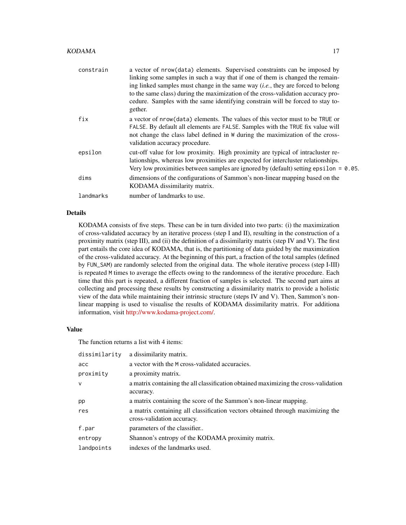| constrain | a vector of nrow(data) elements. Supervised constraints can be imposed by<br>linking some samples in such a way that if one of them is changed the remain-<br>ing linked samples must change in the same way $(i.e., they are forced to belong$<br>to the same class) during the maximization of the cross-validation accuracy pro-<br>cedure. Samples with the same identifying constrain will be forced to stay to-<br>gether. |
|-----------|----------------------------------------------------------------------------------------------------------------------------------------------------------------------------------------------------------------------------------------------------------------------------------------------------------------------------------------------------------------------------------------------------------------------------------|
| fix       | a vector of nrow(data) elements. The values of this vector must to be TRUE or<br>FALSE. By default all elements are FALSE. Samples with the TRUE fix value will<br>not change the class label defined in W during the maximization of the cross-<br>validation accuracy procedure.                                                                                                                                               |
| epsilon   | cut-off value for low proximity. High proximity are typical of intracluster re-<br>lationships, whereas low proximities are expected for intercluster relationships.<br>Very low proximities between samples are ignored by (default) setting epsilon = $0.05$ .                                                                                                                                                                 |
| dims      | dimensions of the configurations of Sammon's non-linear mapping based on the<br>KODAMA dissimilarity matrix.                                                                                                                                                                                                                                                                                                                     |
| landmarks | number of landmarks to use.                                                                                                                                                                                                                                                                                                                                                                                                      |

# Details

KODAMA consists of five steps. These can be in turn divided into two parts: (i) the maximization of cross-validated accuracy by an iterative process (step I and II), resulting in the construction of a proximity matrix (step III), and (ii) the definition of a dissimilarity matrix (step IV and V). The first part entails the core idea of KODAMA, that is, the partitioning of data guided by the maximization of the cross-validated accuracy. At the beginning of this part, a fraction of the total samples (defined by FUN\_SAM) are randomly selected from the original data. The whole iterative process (step I-III) is repeated M times to average the effects owing to the randomness of the iterative procedure. Each time that this part is repeated, a different fraction of samples is selected. The second part aims at collecting and processing these results by constructing a dissimilarity matrix to provide a holistic view of the data while maintaining their intrinsic structure (steps IV and V). Then, Sammon's nonlinear mapping is used to visualise the results of KODAMA dissimilarity matrix. For additiona information, visit [http://www.kodama-project.com/.](http://www.kodama-project.com/)

# Value

The function returns a list with 4 items:

| dissimilarity | a dissimilarity matrix.                                                                                      |
|---------------|--------------------------------------------------------------------------------------------------------------|
| acc           | a vector with the M cross-validated accuracies.                                                              |
| proximity     | a proximity matrix.                                                                                          |
| $\mathsf{v}$  | a matrix containing the all classification obtained maximizing the cross-validation<br>accuracy.             |
| pp            | a matrix containing the score of the Sammon's non-linear mapping.                                            |
| res           | a matrix containing all classification vectors obtained through maximizing the<br>cross-validation accuracy. |
| f.par         | parameters of the classifier                                                                                 |
| entropy       | Shannon's entropy of the KODAMA proximity matrix.                                                            |
| landpoints    | indexes of the landmarks used.                                                                               |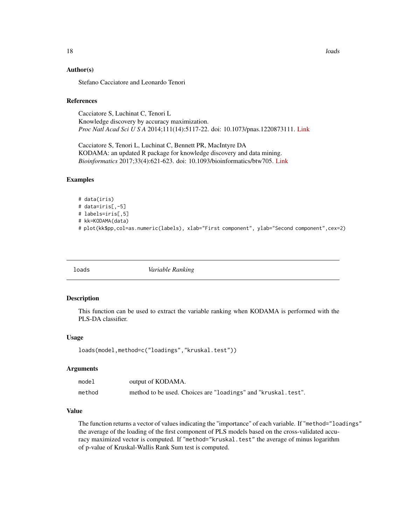### <span id="page-17-0"></span>Author(s)

Stefano Cacciatore and Leonardo Tenori

### References

Cacciatore S, Luchinat C, Tenori L Knowledge discovery by accuracy maximization. *Proc Natl Acad Sci U S A* 2014;111(14):5117-22. doi: 10.1073/pnas.1220873111. [Link](http://www.pnas.org/content/111/14/5117)

Cacciatore S, Tenori L, Luchinat C, Bennett PR, MacIntyre DA KODAMA: an updated R package for knowledge discovery and data mining. *Bioinformatics* 2017;33(4):621-623. doi: 10.1093/bioinformatics/btw705. [Link](https://academic.oup.com/bioinformatics/article/doi/10.1093/bioinformatics/btw705/2667156/KODAMA-an-R-package-for-knowledge-discovery-and)

### Examples

# data(iris) # data=iris[,-5] # labels=iris[,5] # kk=KODAMA(data) # plot(kk\$pp,col=as.numeric(labels), xlab="First component", ylab="Second component",cex=2)

loads *Variable Ranking*

# Description

This function can be used to extract the variable ranking when KODAMA is performed with the PLS-DA classifier.

### Usage

loads(model,method=c("loadings","kruskal.test"))

# Arguments

| model  | output of KODAMA.                                             |
|--------|---------------------------------------------------------------|
| method | method to be used. Choices are "loadings" and "kruskal.test". |

# Value

The function returns a vector of values indicating the "importance" of each variable. If "method="loadings" the average of the loading of the first component of PLS models based on the cross-validated accuracy maximized vector is computed. If "method="kruskal.test" the average of minus logarithm of p-value of Kruskal-Wallis Rank Sum test is computed.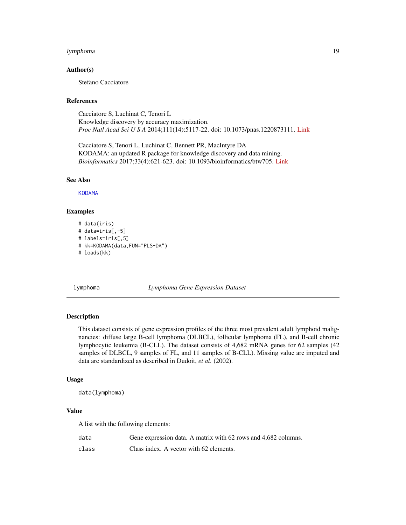### <span id="page-18-0"></span>lymphoma 19

### Author(s)

Stefano Cacciatore

### References

Cacciatore S, Luchinat C, Tenori L Knowledge discovery by accuracy maximization. *Proc Natl Acad Sci U S A* 2014;111(14):5117-22. doi: 10.1073/pnas.1220873111. [Link](http://www.pnas.org/content/111/14/5117)

Cacciatore S, Tenori L, Luchinat C, Bennett PR, MacIntyre DA KODAMA: an updated R package for knowledge discovery and data mining. *Bioinformatics* 2017;33(4):621-623. doi: 10.1093/bioinformatics/btw705. [Link](https://academic.oup.com/bioinformatics/article/doi/10.1093/bioinformatics/btw705/2667156/KODAMA-an-R-package-for-knowledge-discovery-and)

### See Also

[KODAMA](#page-15-1)

# Examples

```
# data(iris)
# data=iris[,-5]
# labels=iris[,5]
# kk=KODAMA(data,FUN="PLS-DA")
# loads(kk)
```
lymphoma *Lymphoma Gene Expression Dataset*

# **Description**

This dataset consists of gene expression profiles of the three most prevalent adult lymphoid malignancies: diffuse large B-cell lymphoma (DLBCL), follicular lymphoma (FL), and B-cell chronic lymphocytic leukemia (B-CLL). The dataset consists of 4,682 mRNA genes for 62 samples (42 samples of DLBCL, 9 samples of FL, and 11 samples of B-CLL). Missing value are imputed and data are standardized as described in Dudoit, *et al*. (2002).

### Usage

```
data(lymphoma)
```
### Value

A list with the following elements:

| data  | Gene expression data. A matrix with 62 rows and 4,682 columns. |
|-------|----------------------------------------------------------------|
| class | Class index. A vector with 62 elements.                        |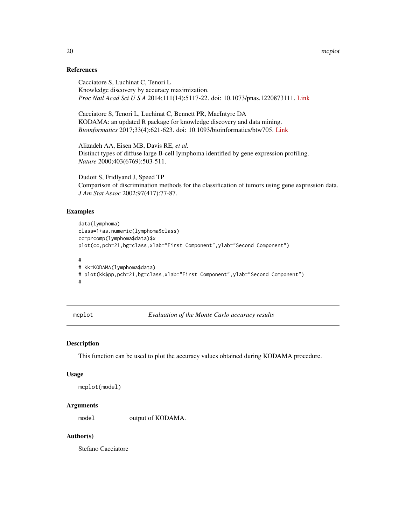# <span id="page-19-0"></span>References

Cacciatore S, Luchinat C, Tenori L Knowledge discovery by accuracy maximization. *Proc Natl Acad Sci U S A* 2014;111(14):5117-22. doi: 10.1073/pnas.1220873111. [Link](http://www.pnas.org/content/111/14/5117)

Cacciatore S, Tenori L, Luchinat C, Bennett PR, MacIntyre DA KODAMA: an updated R package for knowledge discovery and data mining. *Bioinformatics* 2017;33(4):621-623. doi: 10.1093/bioinformatics/btw705. [Link](https://academic.oup.com/bioinformatics/article/doi/10.1093/bioinformatics/btw705/2667156/KODAMA-an-R-package-for-knowledge-discovery-and)

Alizadeh AA, Eisen MB, Davis RE, *et al.* Distinct types of diffuse large B-cell lymphoma identified by gene expression profiling. *Nature* 2000;403(6769):503-511.

Dudoit S, Fridlyand J, Speed TP Comparison of discrimination methods for the classification of tumors using gene expression data. *J Am Stat Assoc* 2002;97(417):77-87.

### Examples

```
data(lymphoma)
class=1+as.numeric(lymphoma$class)
cc=prcomp(lymphoma$data)$x
plot(cc,pch=21,bg=class,xlab="First Component",ylab="Second Component")
#
# kk=KODAMA(lymphoma$data)
# plot(kk$pp,pch=21,bg=class,xlab="First Component",ylab="Second Component")
#
```
mcplot *Evaluation of the Monte Carlo accuracy results*

# Description

This function can be used to plot the accuracy values obtained during KODAMA procedure.

### Usage

```
mcplot(model)
```
# Arguments

model output of KODAMA.

# Author(s)

Stefano Cacciatore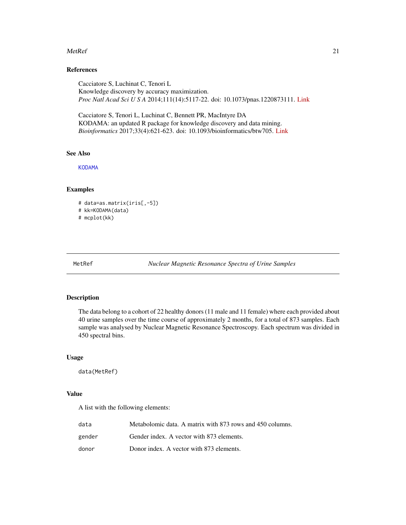### <span id="page-20-0"></span> $\mathcal{M}$ etRef 21

# References

Cacciatore S, Luchinat C, Tenori L Knowledge discovery by accuracy maximization. *Proc Natl Acad Sci U S A* 2014;111(14):5117-22. doi: 10.1073/pnas.1220873111. [Link](http://www.pnas.org/content/111/14/5117)

Cacciatore S, Tenori L, Luchinat C, Bennett PR, MacIntyre DA KODAMA: an updated R package for knowledge discovery and data mining. *Bioinformatics* 2017;33(4):621-623. doi: 10.1093/bioinformatics/btw705. [Link](https://academic.oup.com/bioinformatics/article/doi/10.1093/bioinformatics/btw705/2667156/KODAMA-an-R-package-for-knowledge-discovery-and)

# See Also

[KODAMA](#page-15-1)

# Examples

# data=as.matrix(iris[,-5])

# kk=KODAMA(data)

# mcplot(kk)

MetRef *Nuclear Magnetic Resonance Spectra of Urine Samples*

# Description

The data belong to a cohort of 22 healthy donors (11 male and 11 female) where each provided about 40 urine samples over the time course of approximately 2 months, for a total of 873 samples. Each sample was analysed by Nuclear Magnetic Resonance Spectroscopy. Each spectrum was divided in 450 spectral bins.

### Usage

data(MetRef)

# Value

A list with the following elements:

| data   | Metabolomic data. A matrix with 873 rows and 450 columns. |
|--------|-----------------------------------------------------------|
| gender | Gender index. A vector with 873 elements.                 |
| donor  | Donor index. A vector with 873 elements.                  |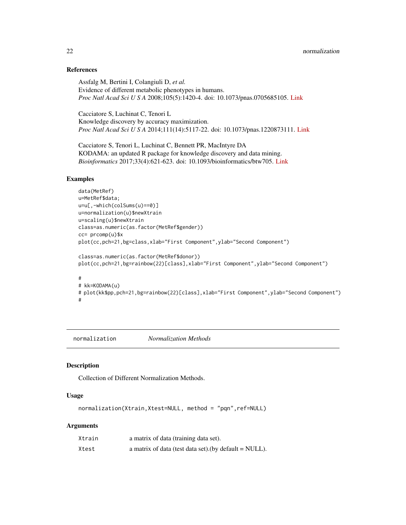# <span id="page-21-0"></span>References

Assfalg M, Bertini I, Colangiuli D, *et al.* Evidence of different metabolic phenotypes in humans. *Proc Natl Acad Sci U S A* 2008;105(5):1420-4. doi: 10.1073/pnas.0705685105. [Link](http://www.pnas.org/content/105/5/1420.long)

Cacciatore S, Luchinat C, Tenori L Knowledge discovery by accuracy maximization. *Proc Natl Acad Sci U S A* 2014;111(14):5117-22. doi: 10.1073/pnas.1220873111. [Link](http://www.pnas.org/content/111/14/5117)

Cacciatore S, Tenori L, Luchinat C, Bennett PR, MacIntyre DA KODAMA: an updated R package for knowledge discovery and data mining. *Bioinformatics* 2017;33(4):621-623. doi: 10.1093/bioinformatics/btw705. [Link](https://academic.oup.com/bioinformatics/article/doi/10.1093/bioinformatics/btw705/2667156/KODAMA-an-R-package-for-knowledge-discovery-and)

# Examples

```
data(MetRef)
u=MetRef$data;
u=u[,-which(colSums(u)==0)]
u=normalization(u)$newXtrain
u=scaling(u)$newXtrain
class=as.numeric(as.factor(MetRef$gender))
cc= prcomp(u)$x
plot(cc,pch=21,bg=class,xlab="First Component",ylab="Second Component")
class=as.numeric(as.factor(MetRef$donor))
plot(cc,pch=21,bg=rainbow(22)[class],xlab="First Component",ylab="Second Component")
#
# kk=KODAMA(u)
# plot(kk$pp,pch=21,bg=rainbow(22)[class],xlab="First Component",ylab="Second Component")
#
```
<span id="page-21-1"></span>normalization *Normalization Methods*

# Description

Collection of Different Normalization Methods.

# Usage

normalization(Xtrain,Xtest=NULL, method = "pqn",ref=NULL)

# Arguments

| Xtrain | a matrix of data (training data set).                   |
|--------|---------------------------------------------------------|
| Xtest  | a matrix of data (test data set).(by default $=$ NULL). |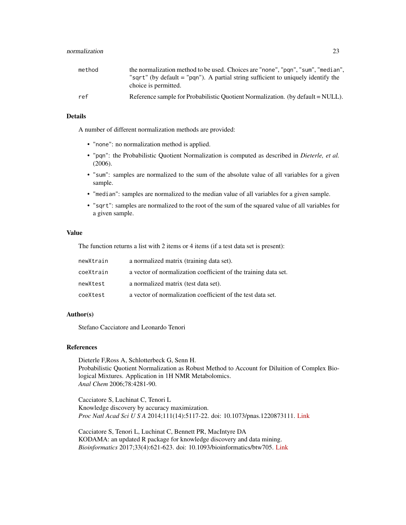| method | the normalization method to be used. Choices are "none", "pqn", "sum", "median",  |
|--------|-----------------------------------------------------------------------------------|
|        | "sqrt" (by default = "pqn"). A partial string sufficient to uniquely identify the |
|        | choice is permitted.                                                              |
| ref    | Reference sample for Probabilistic Quotient Normalization. (by default = NULL).   |

# Details

A number of different normalization methods are provided:

- "none": no normalization method is applied.
- "pqn": the Probabilistic Quotient Normalization is computed as described in *Dieterle, et al.* (2006).
- "sum": samples are normalized to the sum of the absolute value of all variables for a given sample.
- "median": samples are normalized to the median value of all variables for a given sample.
- "sqrt": samples are normalized to the root of the sum of the squared value of all variables for a given sample.

# Value

The function returns a list with 2 items or 4 items (if a test data set is present):

| newXtrain | a normalized matrix (training data set).                        |
|-----------|-----------------------------------------------------------------|
| coeXtrain | a vector of normalization coefficient of the training data set. |
| newXtest  | a normalized matrix (test data set).                            |
| coeXtest  | a vector of normalization coefficient of the test data set.     |

### Author(s)

Stefano Cacciatore and Leonardo Tenori

# References

Dieterle F,Ross A, Schlotterbeck G, Senn H. Probabilistic Quotient Normalization as Robust Method to Account for Diluition of Complex Biological Mixtures. Application in 1H NMR Metabolomics. *Anal Chem* 2006;78:4281-90.

Cacciatore S, Luchinat C, Tenori L Knowledge discovery by accuracy maximization. *Proc Natl Acad Sci U S A* 2014;111(14):5117-22. doi: 10.1073/pnas.1220873111. [Link](http://www.pnas.org/content/111/14/5117)

Cacciatore S, Tenori L, Luchinat C, Bennett PR, MacIntyre DA KODAMA: an updated R package for knowledge discovery and data mining. *Bioinformatics* 2017;33(4):621-623. doi: 10.1093/bioinformatics/btw705. [Link](https://academic.oup.com/bioinformatics/article/doi/10.1093/bioinformatics/btw705/2667156/KODAMA-an-R-package-for-knowledge-discovery-and)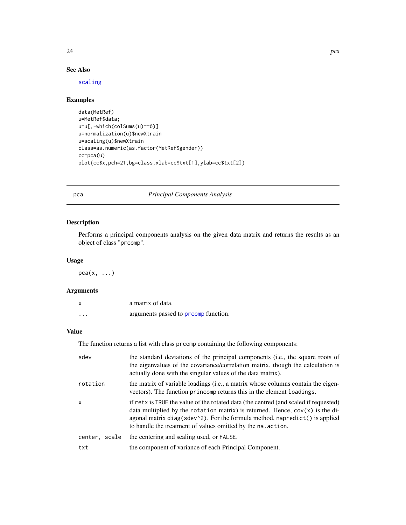<span id="page-23-0"></span>

# See Also

[scaling](#page-28-1)

# Examples

```
data(MetRef)
u=MetRef$data;
u=u[,-which(colSums(u)==0)]
u=normalization(u)$newXtrain
u=scaling(u)$newXtrain
class=as.numeric(as.factor(MetRef$gender))
cc=pca(u)
plot(cc$x,pch=21,bg=class,xlab=cc$txt[1],ylab=cc$txt[2])
```
# pca *Principal Components Analysis*

# Description

Performs a principal components analysis on the given data matrix and returns the results as an object of class "prcomp".

# Usage

 $pca(x, \ldots)$ 

# Arguments

|         | a matrix of data.                          |
|---------|--------------------------------------------|
| $\cdot$ | arguments passed to <b>promp</b> function. |

# Value

The function returns a list with class prcomp containing the following components:

| sdev          | the standard deviations of the principal components (i.e., the square roots of<br>the eigenvalues of the covariance/correlation matrix, though the calculation is<br>actually done with the singular values of the data matrix).                                                                                      |
|---------------|-----------------------------------------------------------------------------------------------------------------------------------------------------------------------------------------------------------------------------------------------------------------------------------------------------------------------|
| rotation      | the matrix of variable loadings (i.e., a matrix whose columns contain the eigen-<br>vectors). The function princomp returns this in the element loadings.                                                                                                                                                             |
| $\mathsf{x}$  | if retx is TRUE the value of the rotated data (the centred (and scaled if requested)<br>data multiplied by the rotation matrix) is returned. Hence, $cov(x)$ is the di-<br>agonal matrix diag(sdev^2). For the formula method, napredict() is applied<br>to handle the treatment of values omitted by the na. action. |
| center, scale | the centering and scaling used, or FALSE.                                                                                                                                                                                                                                                                             |
| txt           | the component of variance of each Principal Component.                                                                                                                                                                                                                                                                |

24 pca between the control of the control of the control of the control of the control of the control of the control of the control of the control of the control of the control of the control of the control of the control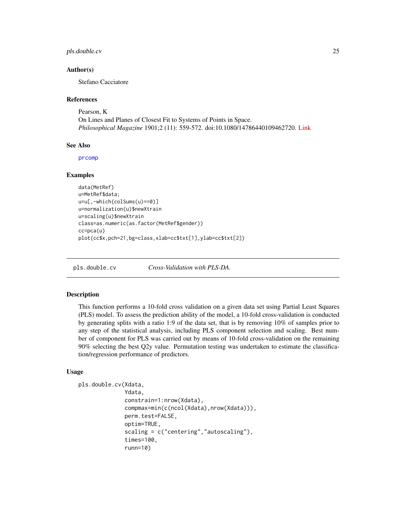# <span id="page-24-0"></span>pls.double.cv 25

### Author(s)

Stefano Cacciatore

### References

Pearson, K On Lines and Planes of Closest Fit to Systems of Points in Space. *Philosophical Magazine* 1901;2 (11): 559-572. doi:10.1080/14786440109462720. [Link](https://www.tandfonline.com/doi/abs/10.1080/14786440109462720)

# See Also

[prcomp](#page-0-0)

# Examples

```
data(MetRef)
u=MetRef$data;
u=u[,-which(colSums(u)==0)]
u=normalization(u)$newXtrain
u=scaling(u)$newXtrain
class=as.numeric(as.factor(MetRef$gender))
cc=pca(u)
plot(cc$x,pch=21,bg=class,xlab=cc$txt[1],ylab=cc$txt[2])
```
pls.double.cv *Cross-Validation with PLS-DA.*

# Description

This function performs a 10-fold cross validation on a given data set using Partial Least Squares (PLS) model. To assess the prediction ability of the model, a 10-fold cross-validation is conducted by generating splits with a ratio 1:9 of the data set, that is by removing 10% of samples prior to any step of the statistical analysis, including PLS component selection and scaling. Best number of component for PLS was carried out by means of 10-fold cross-validation on the remaining 90% selecting the best Q2y value. Permutation testing was undertaken to estimate the classification/regression performance of predictors.

### Usage

```
pls.double.cv(Xdata,
              Ydata,
              constrain=1:nrow(Xdata),
              compmax=min(c(ncol(Xdata),nrow(Xdata))),
              perm.test=FALSE,
              optim=TRUE,
              scaling = c("centering","autoscaling"),
              times=100,
              runn=10)
```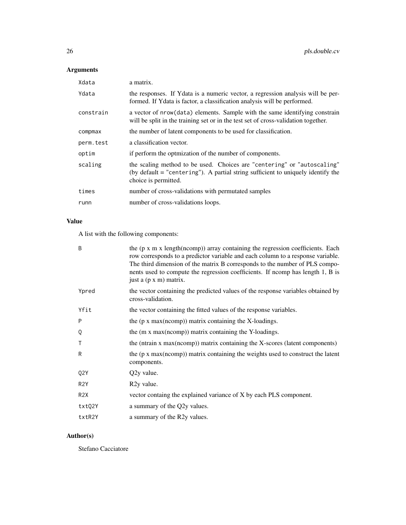# Arguments

| Xdata     | a matrix.                                                                                                                                                                             |
|-----------|---------------------------------------------------------------------------------------------------------------------------------------------------------------------------------------|
| Ydata     | the responses. If Ydata is a numeric vector, a regression analysis will be per-<br>formed. If Ydata is factor, a classification analysis will be performed.                           |
| constrain | a vector of nrow(data) elements. Sample with the same identifying constrain<br>will be split in the training set or in the test set of cross-validation together.                     |
| compmax   | the number of latent components to be used for classification.                                                                                                                        |
| perm.test | a classification vector.                                                                                                                                                              |
| optim     | if perform the optmization of the number of components.                                                                                                                               |
| scaling   | the scaling method to be used. Choices are "centering" or "autoscaling"<br>(by default $=$ "centering"). A partial string sufficient to uniquely identify the<br>choice is permitted. |
| times     | number of cross-validations with permutated samples                                                                                                                                   |
| runn      | number of cross-validations loops.                                                                                                                                                    |

# Value

A list with the following components:

| B                | the $(p \times m \times length(ncomp))$ array containing the regression coefficients. Each<br>row corresponds to a predictor variable and each column to a response variable.<br>The third dimension of the matrix B corresponds to the number of PLS compo-<br>nents used to compute the regression coefficients. If nomp has length 1, B is<br>just a (p x m) matrix. |
|------------------|-------------------------------------------------------------------------------------------------------------------------------------------------------------------------------------------------------------------------------------------------------------------------------------------------------------------------------------------------------------------------|
| Ypred            | the vector containing the predicted values of the response variables obtained by<br>cross-validation.                                                                                                                                                                                                                                                                   |
| Yfit             | the vector containing the fitted values of the response variables.                                                                                                                                                                                                                                                                                                      |
| P                | the $(p \times max(ncomp))$ matrix containing the X-loadings.                                                                                                                                                                                                                                                                                                           |
| Q                | the (m x max(ncomp)) matrix containing the Y-loadings.                                                                                                                                                                                                                                                                                                                  |
| т                | the (ntrain x max(ncomp)) matrix containing the X-scores (latent components)                                                                                                                                                                                                                                                                                            |
| R                | the $(p \times max(ncomp))$ matrix containing the weights used to construct the latent<br>components.                                                                                                                                                                                                                                                                   |
| Q2Y              | Q2y value.                                                                                                                                                                                                                                                                                                                                                              |
| R <sub>2</sub> Y | R <sub>2</sub> y value.                                                                                                                                                                                                                                                                                                                                                 |
| R <sub>2</sub> X | vector containg the explained variance of X by each PLS component.                                                                                                                                                                                                                                                                                                      |
| txtQ2Y           | a summary of the Q2y values.                                                                                                                                                                                                                                                                                                                                            |
| txtR2Y           | a summary of the R2y values.                                                                                                                                                                                                                                                                                                                                            |

# Author(s)

Stefano Cacciatore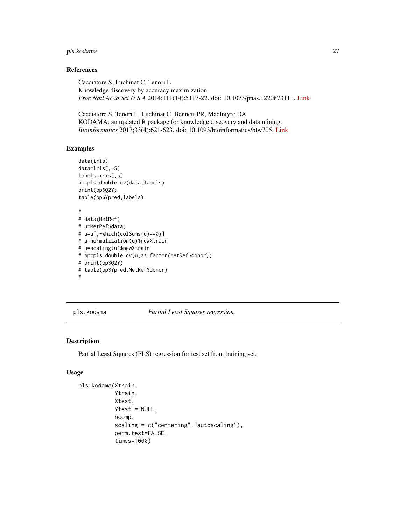# <span id="page-26-0"></span>pls.kodama 27

# References

Cacciatore S, Luchinat C, Tenori L Knowledge discovery by accuracy maximization. *Proc Natl Acad Sci U S A* 2014;111(14):5117-22. doi: 10.1073/pnas.1220873111. [Link](http://www.pnas.org/content/111/14/5117)

Cacciatore S, Tenori L, Luchinat C, Bennett PR, MacIntyre DA KODAMA: an updated R package for knowledge discovery and data mining. *Bioinformatics* 2017;33(4):621-623. doi: 10.1093/bioinformatics/btw705. [Link](https://academic.oup.com/bioinformatics/article/doi/10.1093/bioinformatics/btw705/2667156/KODAMA-an-R-package-for-knowledge-discovery-and)

### Examples

```
data(iris)
data=iris[,-5]
labels=iris[,5]
pp=pls.double.cv(data,labels)
print(pp$Q2Y)
table(pp$Ypred,labels)
#
# data(MetRef)
# u=MetRef$data;
# u=u[,-which(colSums(u)==0)]
# u=normalization(u)$newXtrain
# u=scaling(u)$newXtrain
# pp=pls.double.cv(u,as.factor(MetRef$donor))
# print(pp$Q2Y)
# table(pp$Ypred,MetRef$donor)
#
```
pls.kodama *Partial Least Squares regression.*

### Description

Partial Least Squares (PLS) regression for test set from training set.

### Usage

```
pls.kodama(Xtrain,
           Ytrain,
           Xtest,
           Ytest = NULL,
           ncomp,
           scaling = c("centering","autoscaling"),
           perm.test=FALSE,
           times=1000)
```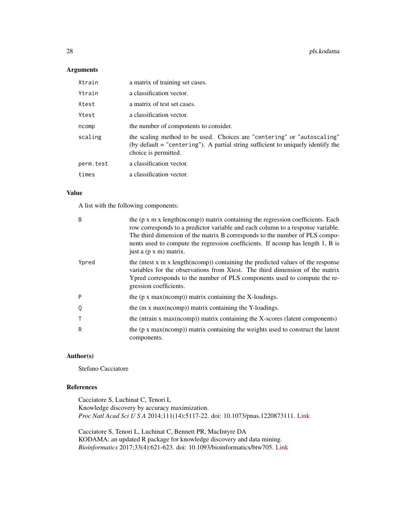# Arguments

| Xtrain    | a matrix of training set cases.                                                                                                                                                     |
|-----------|-------------------------------------------------------------------------------------------------------------------------------------------------------------------------------------|
| Ytrain    | a classification vector.                                                                                                                                                            |
| Xtest     | a matrix of test set cases.                                                                                                                                                         |
| Ytest     | a classification vector.                                                                                                                                                            |
| ncomp     | the number of components to consider.                                                                                                                                               |
| scaling   | the scaling method to be used. Choices are "centering" or "autoscaling"<br>(by default = "centering"). A partial string sufficient to uniquely identify the<br>choice is permitted. |
| perm.test | a classification vector.                                                                                                                                                            |
| times     | a classification vector.                                                                                                                                                            |

# Value

A list with the following components:

| B            | the $(p \times m \times length(ncomp))$ matrix containing the regression coefficients. Each<br>row corresponds to a predictor variable and each column to a response variable.<br>The third dimension of the matrix B corresponds to the number of PLS compo-<br>nents used to compute the regression coefficients. If nomp has length 1, B is<br>just a (p x m) matrix. |
|--------------|--------------------------------------------------------------------------------------------------------------------------------------------------------------------------------------------------------------------------------------------------------------------------------------------------------------------------------------------------------------------------|
| Ypred        | the (ntest x m x length(ncomp)) containing the predicted values of the response<br>variables for the observations from Xtest. The third dimension of the matrix<br>Ypred corresponds to the number of PLS components used to compute the re-<br>gression coefficients.                                                                                                   |
| P            | the $(p \times max(ncomp))$ matrix containing the X-loadings.                                                                                                                                                                                                                                                                                                            |
| Q            | the (m x max(ncomp)) matrix containing the Y-loadings.                                                                                                                                                                                                                                                                                                                   |
| $\mathsf{T}$ | the (ntrain x max(ncomp)) matrix containing the X-scores (latent components)                                                                                                                                                                                                                                                                                             |
| R            | the $(p \times max(ncomp))$ matrix containing the weights used to construct the latent<br>components.                                                                                                                                                                                                                                                                    |

# Author(s)

Stefano Cacciatore

# References

Cacciatore S, Luchinat C, Tenori L Knowledge discovery by accuracy maximization. *Proc Natl Acad Sci U S A* 2014;111(14):5117-22. doi: 10.1073/pnas.1220873111. [Link](http://www.pnas.org/content/111/14/5117)

Cacciatore S, Tenori L, Luchinat C, Bennett PR, MacIntyre DA KODAMA: an updated R package for knowledge discovery and data mining. *Bioinformatics* 2017;33(4):621-623. doi: 10.1093/bioinformatics/btw705. [Link](https://academic.oup.com/bioinformatics/article/doi/10.1093/bioinformatics/btw705/2667156/KODAMA-an-R-package-for-knowledge-discovery-and)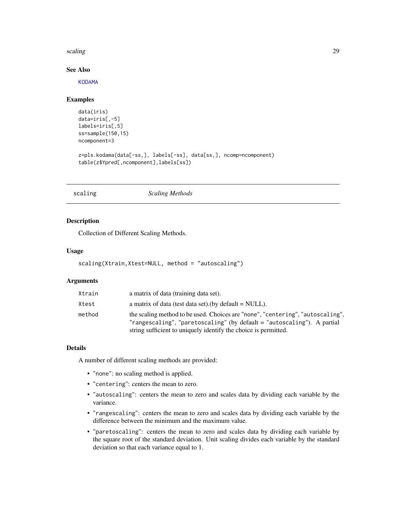### <span id="page-28-0"></span>scaling 29

# See Also

[KODAMA](#page-15-1)

### Examples

```
data(iris)
data=iris[,-5]
labels=iris[,5]
ss=sample(150,15)
ncomponent=3
z=pls.kodama(data[-ss,], labels[-ss], data[ss,], ncomp=ncomponent)
```

```
table(z$Ypred[,ncomponent],labels[ss])
```
<span id="page-28-1"></span>

# Description

Collection of Different Scaling Methods.

# Usage

```
scaling(Xtrain,Xtest=NULL, method = "autoscaling")
```
# Arguments

| Xtrain | a matrix of data (training data set).                                                                                                                                                                                          |
|--------|--------------------------------------------------------------------------------------------------------------------------------------------------------------------------------------------------------------------------------|
| Xtest  | a matrix of data (test data set). (by default $=$ NULL).                                                                                                                                                                       |
| method | the scaling method to be used. Choices are "none", "centering", "autoscaling",<br>"rangescaling", "paretoscaling" (by default $=$ "autoscaling"). A partial<br>string sufficient to uniquely identify the choice is permitted. |

### Details

A number of different scaling methods are provided:

- "none": no scaling method is applied.
- "centering": centers the mean to zero.
- "autoscaling": centers the mean to zero and scales data by dividing each variable by the variance.
- "rangescaling": centers the mean to zero and scales data by dividing each variable by the difference between the minimum and the maximum value.
- "paretoscaling": centers the mean to zero and scales data by dividing each variable by the square root of the standard deviation. Unit scaling divides each variable by the standard deviation so that each variance equal to 1.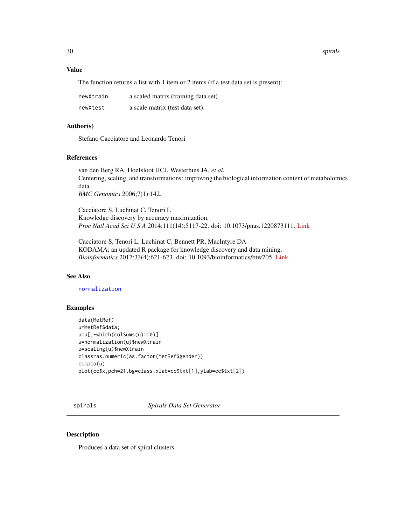# Value

The function returns a list with 1 item or 2 items (if a test data set is present):

| newXtrain | a scaled matrix (training data set). |
|-----------|--------------------------------------|
| newXtest  | a scale matrix (test data set).      |

### Author(s)

Stefano Cacciatore and Leonardo Tenori

### References

van den Berg RA, Hoefsloot HCJ, Westerhuis JA, *et al.* Centering, scaling, and transformations: improving the biological information content of metabolomics data. *BMC Genomics* 2006;7(1):142.

Cacciatore S, Luchinat C, Tenori L Knowledge discovery by accuracy maximization. *Proc Natl Acad Sci U S A* 2014;111(14):5117-22. doi: 10.1073/pnas.1220873111. [Link](http://www.pnas.org/content/111/14/5117)

Cacciatore S, Tenori L, Luchinat C, Bennett PR, MacIntyre DA KODAMA: an updated R package for knowledge discovery and data mining. *Bioinformatics* 2017;33(4):621-623. doi: 10.1093/bioinformatics/btw705. [Link](https://academic.oup.com/bioinformatics/article/doi/10.1093/bioinformatics/btw705/2667156/KODAMA-an-R-package-for-knowledge-discovery-and)

### See Also

# [normalization](#page-21-1)

### Examples

```
data(MetRef)
u=MetRef$data;
u=u[,-which(colSums(u)==0)]
u=normalization(u)$newXtrain
u=scaling(u)$newXtrain
class=as.numeric(as.factor(MetRef$gender))
cc=pca(u)
plot(cc$x,pch=21,bg=class,xlab=cc$txt[1],ylab=cc$txt[2])
```
<span id="page-29-1"></span>spirals *Spirals Data Set Generator*

# Description

Produces a data set of spiral clusters.

<span id="page-29-0"></span>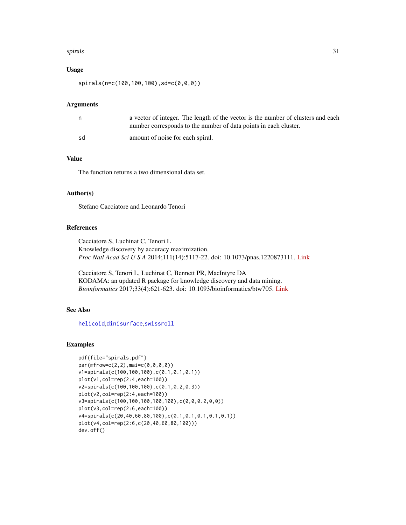### <span id="page-30-0"></span>spirals 31

# Usage

spirals(n=c(100,100,100),sd=c(0,0,0))

### Arguments

|    | a vector of integer. The length of the vector is the number of clusters and each<br>number corresponds to the number of data points in each cluster. |
|----|------------------------------------------------------------------------------------------------------------------------------------------------------|
| sd | amount of noise for each spiral.                                                                                                                     |

# Value

The function returns a two dimensional data set.

# Author(s)

Stefano Cacciatore and Leonardo Tenori

# References

Cacciatore S, Luchinat C, Tenori L Knowledge discovery by accuracy maximization. *Proc Natl Acad Sci U S A* 2014;111(14):5117-22. doi: 10.1073/pnas.1220873111. [Link](http://www.pnas.org/content/111/14/5117)

Cacciatore S, Tenori L, Luchinat C, Bennett PR, MacIntyre DA KODAMA: an updated R package for knowledge discovery and data mining. *Bioinformatics* 2017;33(4):621-623. doi: 10.1093/bioinformatics/btw705. [Link](https://academic.oup.com/bioinformatics/article/doi/10.1093/bioinformatics/btw705/2667156/KODAMA-an-R-package-for-knowledge-discovery-and)

# See Also

[helicoid](#page-9-1),[dinisurface](#page-6-1),[swissroll](#page-31-1)

### Examples

```
pdf(file="spirals.pdf")
par(mfrow=c(2,2),mai=c(0,0,0,0))
v1=spirals(c(100,100,100),c(0.1,0.1,0.1))
plot(v1,col=rep(2:4,each=100))
v2=spirals(c(100,100,100),c(0.1,0.2,0.3))
plot(v2,col=rep(2:4,each=100))
v3=spirals(c(100,100,100,100,100),c(0,0,0.2,0,0))
plot(v3,col=rep(2:6,each=100))
v4=spirals(c(20,40,60,80,100),c(0.1,0.1,0.1,0.1,0.1))
plot(v4,col=rep(2:6,c(20,40,60,80,100)))
dev.off()
```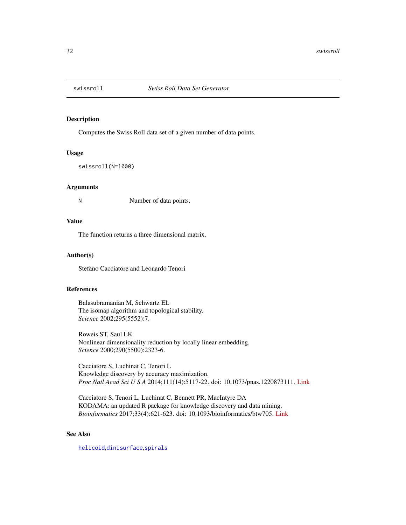<span id="page-31-1"></span><span id="page-31-0"></span>

### Description

Computes the Swiss Roll data set of a given number of data points.

# Usage

swissroll(N=1000)

### Arguments

N Number of data points.

# Value

The function returns a three dimensional matrix.

### Author(s)

Stefano Cacciatore and Leonardo Tenori

### References

Balasubramanian M, Schwartz EL The isomap algorithm and topological stability. *Science* 2002;295(5552):7.

Roweis ST, Saul LK Nonlinear dimensionality reduction by locally linear embedding. *Science* 2000;290(5500):2323-6.

Cacciatore S, Luchinat C, Tenori L Knowledge discovery by accuracy maximization. *Proc Natl Acad Sci U S A* 2014;111(14):5117-22. doi: 10.1073/pnas.1220873111. [Link](http://www.pnas.org/content/111/14/5117)

Cacciatore S, Tenori L, Luchinat C, Bennett PR, MacIntyre DA KODAMA: an updated R package for knowledge discovery and data mining. *Bioinformatics* 2017;33(4):621-623. doi: 10.1093/bioinformatics/btw705. [Link](https://academic.oup.com/bioinformatics/article/doi/10.1093/bioinformatics/btw705/2667156/KODAMA-an-R-package-for-knowledge-discovery-and)

# See Also

[helicoid](#page-9-1),[dinisurface](#page-6-1),[spirals](#page-29-1)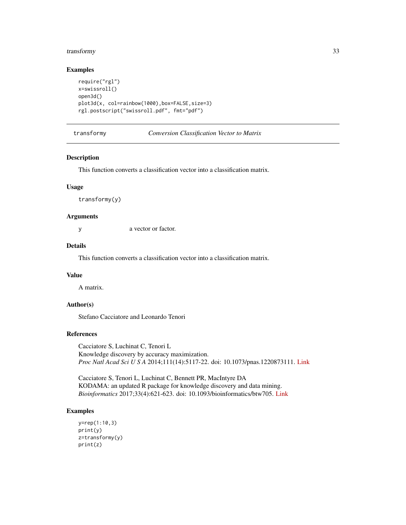# <span id="page-32-0"></span>transformy 33

# Examples

```
require("rgl")
x=swissroll()
open3d()
plot3d(x, col=rainbow(1000),box=FALSE,size=3)
rgl.postscript("swissroll.pdf", fmt="pdf")
```
### transformy *Conversion Classification Vector to Matrix*

# Description

This function converts a classification vector into a classification matrix.

### Usage

transformy(y)

### Arguments

y a vector or factor.

# Details

This function converts a classification vector into a classification matrix.

# Value

A matrix.

# Author(s)

Stefano Cacciatore and Leonardo Tenori

### References

Cacciatore S, Luchinat C, Tenori L Knowledge discovery by accuracy maximization. *Proc Natl Acad Sci U S A* 2014;111(14):5117-22. doi: 10.1073/pnas.1220873111. [Link](http://www.pnas.org/content/111/14/5117)

Cacciatore S, Tenori L, Luchinat C, Bennett PR, MacIntyre DA KODAMA: an updated R package for knowledge discovery and data mining. *Bioinformatics* 2017;33(4):621-623. doi: 10.1093/bioinformatics/btw705. [Link](https://academic.oup.com/bioinformatics/article/doi/10.1093/bioinformatics/btw705/2667156/KODAMA-an-R-package-for-knowledge-discovery-and)

### Examples

```
y=rep(1:10,3)
print(y)
z=transformy(y)
print(z)
```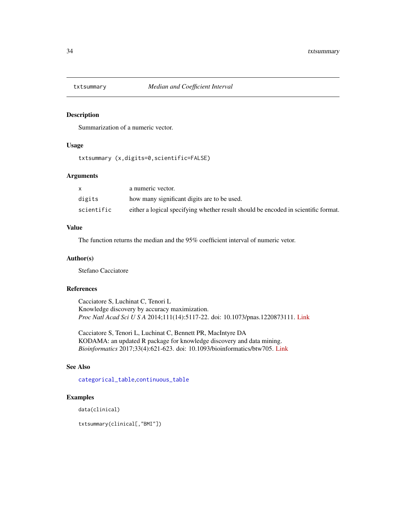<span id="page-33-1"></span><span id="page-33-0"></span>

# Description

Summarization of a numeric vector.

# Usage

txtsummary (x,digits=0,scientific=FALSE)

# Arguments

|            | a numeric vector.                                                                  |
|------------|------------------------------------------------------------------------------------|
| digits     | how many significant digits are to be used.                                        |
| scientific | either a logical specifying whether result should be encoded in scientific format. |

# Value

The function returns the median and the 95% coefficient interval of numeric vetor.

### Author(s)

Stefano Cacciatore

# References

Cacciatore S, Luchinat C, Tenori L Knowledge discovery by accuracy maximization. *Proc Natl Acad Sci U S A* 2014;111(14):5117-22. doi: 10.1073/pnas.1220873111. [Link](http://www.pnas.org/content/111/14/5117)

Cacciatore S, Tenori L, Luchinat C, Bennett PR, MacIntyre DA KODAMA: an updated R package for knowledge discovery and data mining. *Bioinformatics* 2017;33(4):621-623. doi: 10.1093/bioinformatics/btw705. [Link](https://academic.oup.com/bioinformatics/article/doi/10.1093/bioinformatics/btw705/2667156/KODAMA-an-R-package-for-knowledge-discovery-and)

# See Also

[categorical\\_table](#page-1-1),[continuous\\_table](#page-3-1)

# Examples

data(clinical)

txtsummary(clinical[,"BMI"])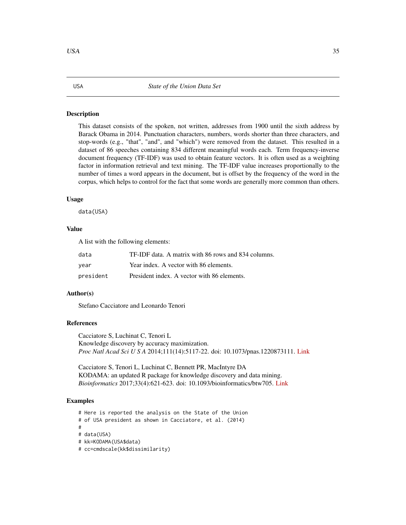### <span id="page-34-0"></span>**Description**

This dataset consists of the spoken, not written, addresses from 1900 until the sixth address by Barack Obama in 2014. Punctuation characters, numbers, words shorter than three characters, and stop-words (e.g., "that", "and", and "which") were removed from the dataset. This resulted in a dataset of 86 speeches containing 834 different meaningful words each. Term frequency-inverse document frequency (TF-IDF) was used to obtain feature vectors. It is often used as a weighting factor in information retrieval and text mining. The TF-IDF value increases proportionally to the number of times a word appears in the document, but is offset by the frequency of the word in the corpus, which helps to control for the fact that some words are generally more common than others.

### Usage

data(USA)

### Value

A list with the following elements:

| data      | TF-IDF data. A matrix with 86 rows and 834 columns. |
|-----------|-----------------------------------------------------|
| vear      | Year index. A vector with 86 elements.              |
| president | President index. A vector with 86 elements.         |

### Author(s)

Stefano Cacciatore and Leonardo Tenori

### References

Cacciatore S, Luchinat C, Tenori L Knowledge discovery by accuracy maximization. *Proc Natl Acad Sci U S A* 2014;111(14):5117-22. doi: 10.1073/pnas.1220873111. [Link](http://www.pnas.org/content/111/14/5117)

Cacciatore S, Tenori L, Luchinat C, Bennett PR, MacIntyre DA KODAMA: an updated R package for knowledge discovery and data mining. *Bioinformatics* 2017;33(4):621-623. doi: 10.1093/bioinformatics/btw705. [Link](https://academic.oup.com/bioinformatics/article/doi/10.1093/bioinformatics/btw705/2667156/KODAMA-an-R-package-for-knowledge-discovery-and)

### Examples

# Here is reported the analysis on the State of the Union

# of USA president as shown in Cacciatore, et al. (2014)

# # data(USA)

- # kk=KODAMA(USA\$data)
- # cc=cmdscale(kk\$dissimilarity)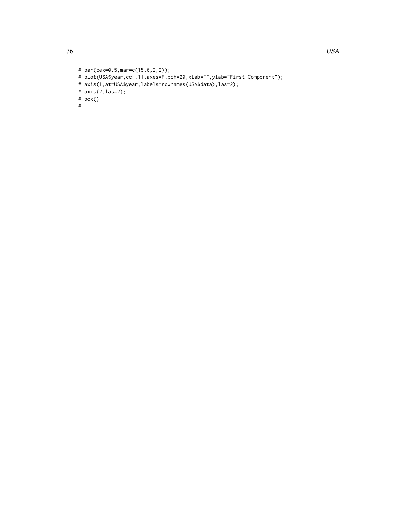```
# par(cex=0.5,mar=c(15,6,2,2));
# plot(USA$year,cc[,1],axes=F,pch=20,xlab="",ylab="First Component");
# axis(1,at=USA$year,labels=rownames(USA$data),las=2);
# axis(2,las=2);
# box()
#
```